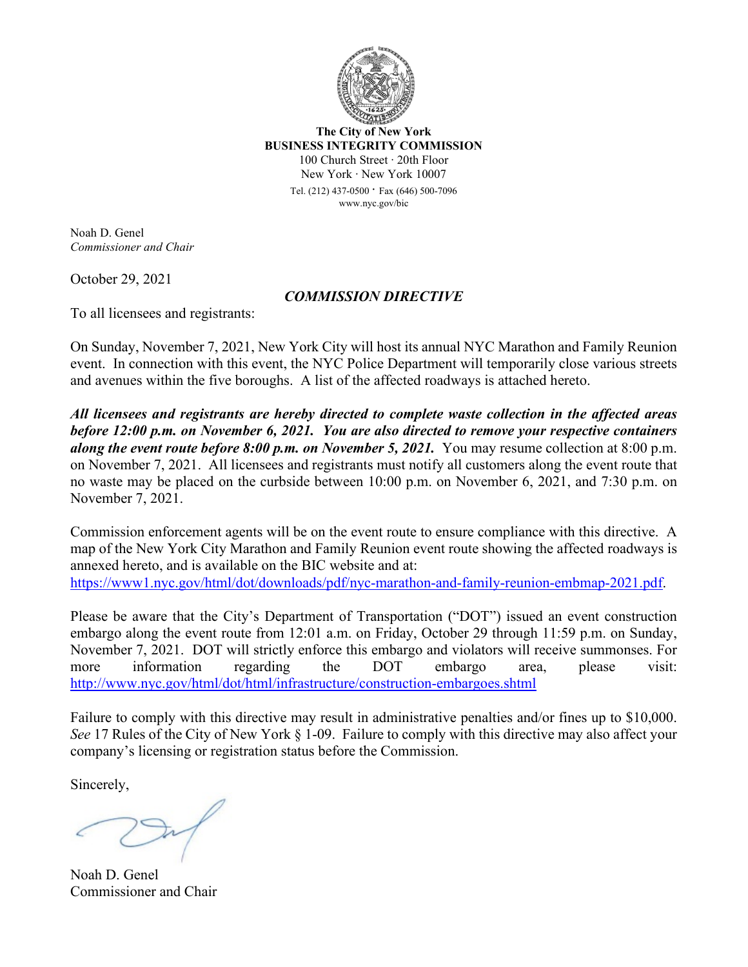

**The City of New York BUSINESS INTEGRITY COMMISSION** 100 Church Street ∙ 20th Floor New York ∙ New York 10007

> Tel. (212) 437-0500 ∙ Fax (646) 500-<sup>7096</sup> www.nyc.gov/bic

Noah D. Genel *Commissioner and Chair*

October 29, 2021

## *COMMISSION DIRECTIVE*

To all licensees and registrants:

On Sunday, November 7, 2021, New York City will host its annual NYC Marathon and Family Reunion event. In connection with this event, the NYC Police Department will temporarily close various streets and avenues within the five boroughs. A list of the affected roadways is attached hereto.

*All licensees and registrants are hereby directed to complete waste collection in the affected areas before 12:00 p.m. on November 6, 2021. You are also directed to remove your respective containers along the event route before 8:00 p.m. on November 5, 2021.* You may resume collection at 8:00 p.m. on November 7, 2021. All licensees and registrants must notify all customers along the event route that no waste may be placed on the curbside between 10:00 p.m. on November 6, 2021, and 7:30 p.m. on November 7, 2021.

Commission enforcement agents will be on the event route to ensure compliance with this directive. A map of the New York City Marathon and Family Reunion event route showing the affected roadways is annexed hereto, and is available on the BIC website and at:

[https://www1.nyc.gov/html/dot/downloads/pdf/nyc](https://www1.nyc.gov/html/dot/downloads/pdf/nyc-marathon-and-family-reunion-embmap-2021.pdf)-marathon-and-family-reunion-embmap-2021.pdf.

Please be aware that the City's Department of Transportation ("DOT") issued an event construction embargo along the event route from 12:01 a.m. on Friday, October 29 through 11:59 p.m. on Sunday, November 7, 2021. DOT will strictly enforce this embargo and violators will receive summonses. For more information regarding the DOT embargo area, please visit: [http://www.nyc.gov/html/dot/html/infrastructure/construction](http://www.nyc.gov/html/dot/html/infrastructure/construction-embargoes.shtml)-embargoes.shtml

Failure to comply with this directive may result in administrative penalties and/or fines up to \$10,000. *See* 17 Rules of the City of New York § 1-09. Failure to comply with this directive may also affect your company's licensing or registration status before the Commission.

Sincerely,

Noah D. Genel Commissioner and Chair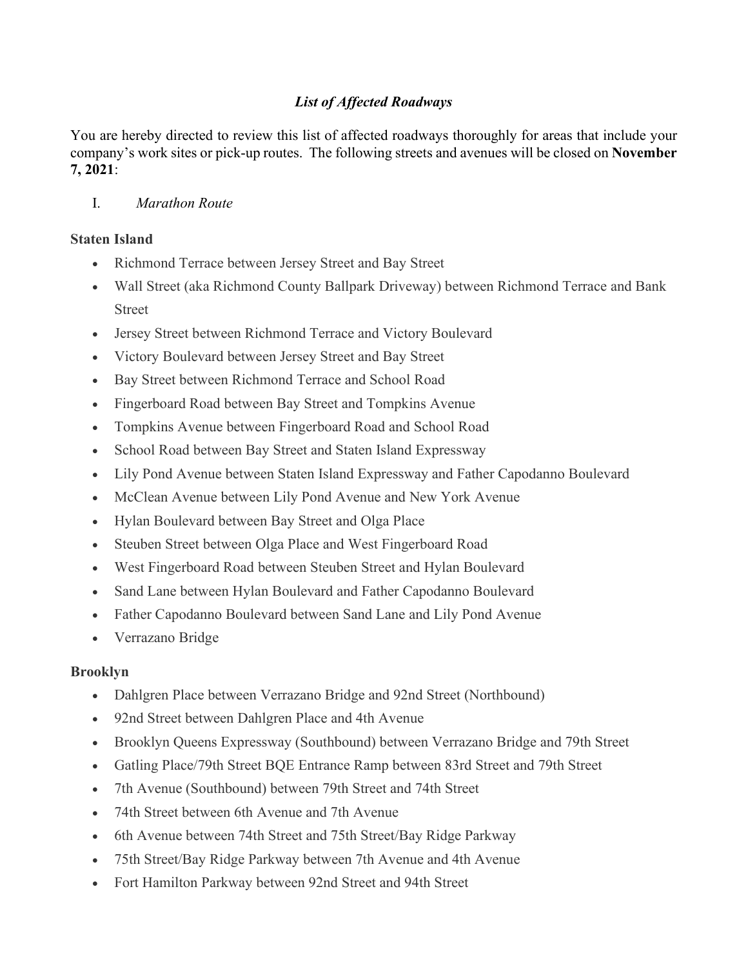# *List of Affected Roadways*

You are hereby directed to review this list of affected roadways thoroughly for areas that include your company's work sites or pick-up routes. The following streets and avenues will be closed on **November 7, 2021**:

## I. *Marathon Route*

### **Staten Island**

- Richmond Terrace between Jersey Street and Bay Street
- Wall Street (aka Richmond County Ballpark Driveway) between Richmond Terrace and Bank Street
- Jersey Street between Richmond Terrace and Victory Boulevard
- Victory Boulevard between Jersey Street and Bay Street
- Bay Street between Richmond Terrace and School Road
- Fingerboard Road between Bay Street and Tompkins Avenue
- Tompkins Avenue between Fingerboard Road and School Road
- School Road between Bay Street and Staten Island Expressway
- Lily Pond Avenue between Staten Island Expressway and Father Capodanno Boulevard
- McClean Avenue between Lily Pond Avenue and New York Avenue
- Hylan Boulevard between Bay Street and Olga Place
- Steuben Street between Olga Place and West Fingerboard Road
- West Fingerboard Road between Steuben Street and Hylan Boulevard
- Sand Lane between Hylan Boulevard and Father Capodanno Boulevard
- Father Capodanno Boulevard between Sand Lane and Lily Pond Avenue
- Verrazano Bridge

### **Brooklyn**

- Dahlgren Place between Verrazano Bridge and 92nd Street (Northbound)
- 92nd Street between Dahlgren Place and 4th Avenue
- Brooklyn Queens Expressway (Southbound) between Verrazano Bridge and 79th Street
- Gatling Place/79th Street BQE Entrance Ramp between 83rd Street and 79th Street
- 7th Avenue (Southbound) between 79th Street and 74th Street
- 74th Street between 6th Avenue and 7th Avenue
- 6th Avenue between 74th Street and 75th Street/Bay Ridge Parkway
- 75th Street/Bay Ridge Parkway between 7th Avenue and 4th Avenue
- Fort Hamilton Parkway between 92nd Street and 94th Street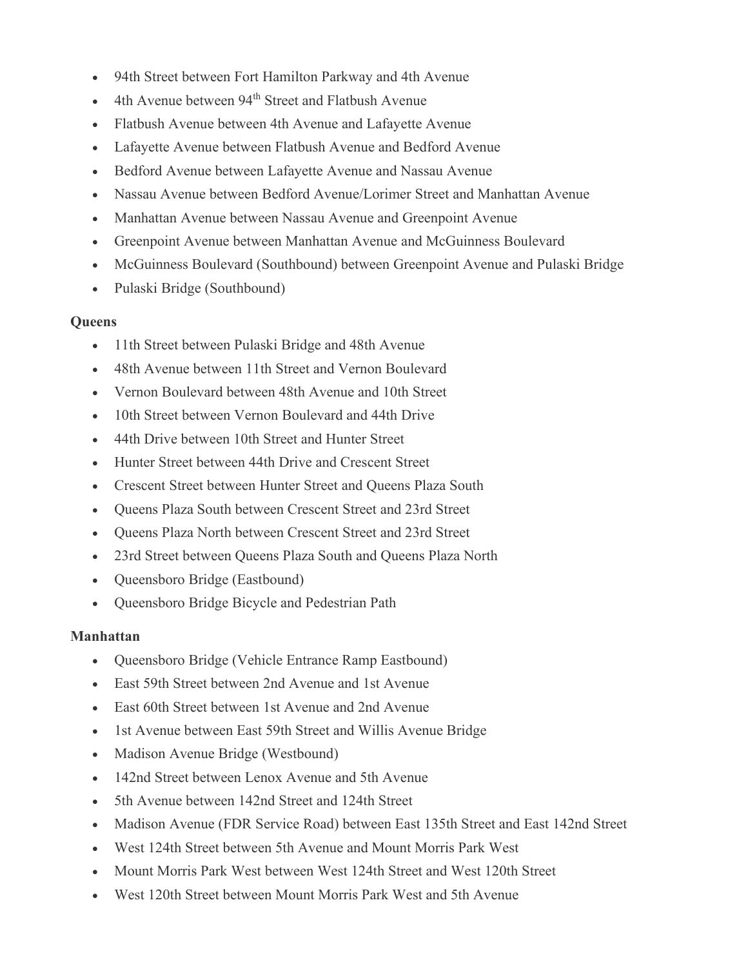- 94th Street between Fort Hamilton Parkway and 4th Avenue
- 4th Avenue between 94<sup>th</sup> Street and Flatbush Avenue
- Flatbush Avenue between 4th Avenue and Lafayette Avenue
- Lafayette Avenue between Flatbush Avenue and Bedford Avenue
- Bedford Avenue between Lafayette Avenue and Nassau Avenue
- Nassau Avenue between Bedford Avenue/Lorimer Street and Manhattan Avenue
- Manhattan Avenue between Nassau Avenue and Greenpoint Avenue
- Greenpoint Avenue between Manhattan Avenue and McGuinness Boulevard
- McGuinness Boulevard (Southbound) between Greenpoint Avenue and Pulaski Bridge
- Pulaski Bridge (Southbound)

#### **Queens**

- 11th Street between Pulaski Bridge and 48th Avenue
- 48th Avenue between 11th Street and Vernon Boulevard
- Vernon Boulevard between 48th Avenue and 10th Street
- 10th Street between Vernon Boulevard and 44th Drive
- 44th Drive between 10th Street and Hunter Street
- Hunter Street between 44th Drive and Crescent Street
- Crescent Street between Hunter Street and Queens Plaza South
- Queens Plaza South between Crescent Street and 23rd Street
- Queens Plaza North between Crescent Street and 23rd Street
- 23rd Street between Queens Plaza South and Queens Plaza North
- Queensboro Bridge (Eastbound)
- Queensboro Bridge Bicycle and Pedestrian Path

#### **Manhattan**

- Queensboro Bridge (Vehicle Entrance Ramp Eastbound)
- East 59th Street between 2nd Avenue and 1st Avenue
- East 60th Street between 1st Avenue and 2nd Avenue
- 1st Avenue between East 59th Street and Willis Avenue Bridge
- Madison Avenue Bridge (Westbound)
- 142nd Street between Lenox Avenue and 5th Avenue
- 5th Avenue between 142nd Street and 124th Street
- Madison Avenue (FDR Service Road) between East 135th Street and East 142nd Street
- West 124th Street between 5th Avenue and Mount Morris Park West
- Mount Morris Park West between West 124th Street and West 120th Street
- West 120th Street between Mount Morris Park West and 5th Avenue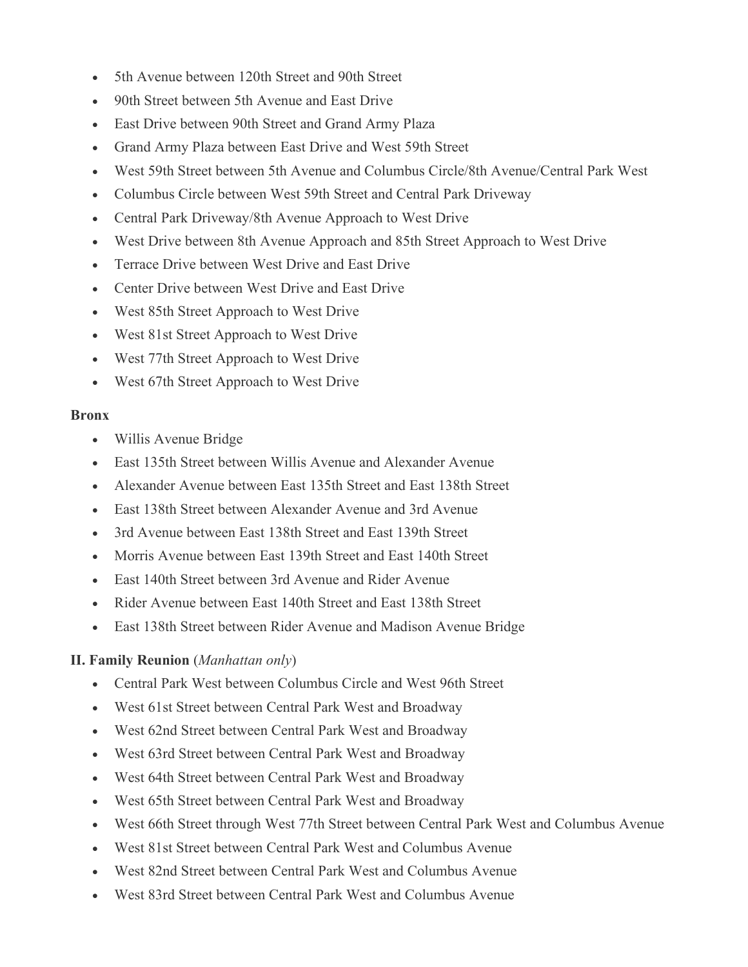- 5th Avenue between 120th Street and 90th Street
- 90th Street between 5th Avenue and East Drive
- East Drive between 90th Street and Grand Army Plaza
- Grand Army Plaza between East Drive and West 59th Street
- West 59th Street between 5th Avenue and Columbus Circle/8th Avenue/Central Park West
- Columbus Circle between West 59th Street and Central Park Driveway
- Central Park Driveway/8th Avenue Approach to West Drive
- West Drive between 8th Avenue Approach and 85th Street Approach to West Drive
- Terrace Drive between West Drive and East Drive
- Center Drive between West Drive and East Drive
- West 85th Street Approach to West Drive
- West 81st Street Approach to West Drive
- West 77th Street Approach to West Drive
- West 67th Street Approach to West Drive

### **Bronx**

- Willis Avenue Bridge
- East 135th Street between Willis Avenue and Alexander Avenue
- Alexander Avenue between East 135th Street and East 138th Street
- East 138th Street between Alexander Avenue and 3rd Avenue
- 3rd Avenue between East 138th Street and East 139th Street
- Morris Avenue between East 139th Street and East 140th Street
- East 140th Street between 3rd Avenue and Rider Avenue
- Rider Avenue between East 140th Street and East 138th Street
- East 138th Street between Rider Avenue and Madison Avenue Bridge

# **II. Family Reunion** (*Manhattan only*)

- Central Park West between Columbus Circle and West 96th Street
- West 61st Street between Central Park West and Broadway
- West 62nd Street between Central Park West and Broadway
- West 63rd Street between Central Park West and Broadway
- West 64th Street between Central Park West and Broadway
- West 65th Street between Central Park West and Broadway
- West 66th Street through West 77th Street between Central Park West and Columbus Avenue
- West 81st Street between Central Park West and Columbus Avenue
- West 82nd Street between Central Park West and Columbus Avenue
- West 83rd Street between Central Park West and Columbus Avenue